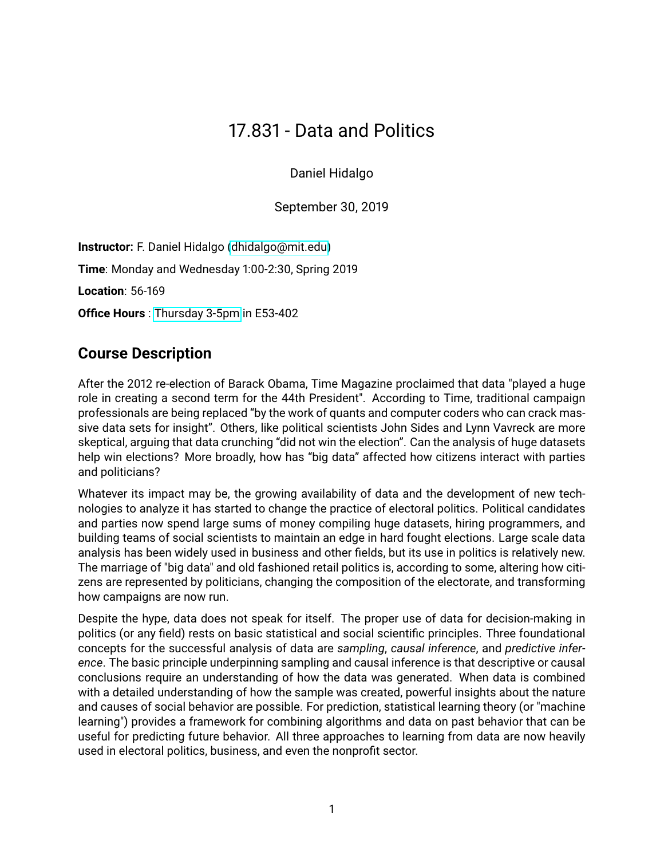# 17.831 - Data and Politics

Daniel Hidalgo

September 30, 2019

**Instructor:** F. Daniel Hidalgo [\(dhidalgo@mit.edu\)](mailto::dhidalgo@mit.edu) **Time**: Monday and Wednesday 1:00-2:30, Spring 2019 **Location**: 56-169 **Office Hours** : [Thursday 3-5pm](https://calendly.com/fdhidalgo/office-hours) in E53-402

## **Course Description**

After the 2012 re-election of Barack Obama, Time Magazine proclaimed that data "played a huge role in creating a second term for the 44th President". According to Time, traditional campaign professionals are being replaced "by the work of quants and computer coders who can crack massive data sets for insight". Others, like political scientists John Sides and Lynn Vavreck are more skeptical, arguing that data crunching "did not win the election". Can the analysis of huge datasets help win elections? More broadly, how has "big data" affected how citizens interact with parties and politicians?

Whatever its impact may be, the growing availability of data and the development of new technologies to analyze it has started to change the practice of electoral politics. Political candidates and parties now spend large sums of money compiling huge datasets, hiring programmers, and building teams of social scientists to maintain an edge in hard fought elections. Large scale data analysis has been widely used in business and other fields, but its use in politics is relatively new. The marriage of "big data" and old fashioned retail politics is, according to some, altering how citizens are represented by politicians, changing the composition of the electorate, and transforming how campaigns are now run.

Despite the hype, data does not speak for itself. The proper use of data for decision-making in politics (or any field) rests on basic statistical and social scientific principles. Three foundational concepts for the successful analysis of data are *sampling*, *causal inference*, and *predictive inference*. The basic principle underpinning sampling and causal inference is that descriptive or causal conclusions require an understanding of how the data was generated. When data is combined with a detailed understanding of how the sample was created, powerful insights about the nature and causes of social behavior are possible. For prediction, statistical learning theory (or "machine learning") provides a framework for combining algorithms and data on past behavior that can be useful for predicting future behavior. All three approaches to learning from data are now heavily used in electoral politics, business, and even the nonprofit sector.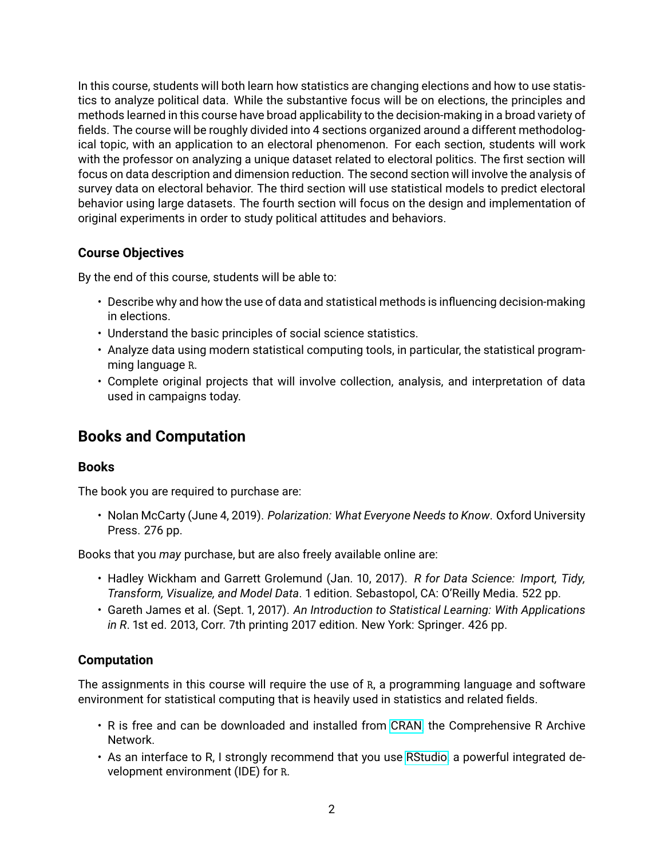In this course, students will both learn how statistics are changing elections and how to use statistics to analyze political data. While the substantive focus will be on elections, the principles and methods learned in this course have broad applicability to the decision-making in a broad variety of fields. The course will be roughly divided into 4 sections organized around a different methodological topic, with an application to an electoral phenomenon. For each section, students will work with the professor on analyzing a unique dataset related to electoral politics. The first section will focus on data description and dimension reduction. The second section will involve the analysis of survey data on electoral behavior. The third section will use statistical models to predict electoral behavior using large datasets. The fourth section will focus on the design and implementation of original experiments in order to study political attitudes and behaviors.

## **Course Objectives**

By the end of this course, students will be able to:

- Describe why and how the use of data and statistical methods is influencing decision-making in elections.
- Understand the basic principles of social science statistics.
- Analyze data using modern statistical computing tools, in particular, the statistical programming language R.
- Complete original projects that will involve collection, analysis, and interpretation of data used in campaigns today.

## **Books and Computation**

## **Books**

The book you are required to purchase are:

• Nolan McCarty (June 4, 2019). *Polarization: What Everyone Needs to Know*. Oxford University Press. 276 pp.

Books that you *may* purchase, but are also freely available online are:

- Hadley Wickham and Garrett Grolemund (Jan. 10, 2017). *R for Data Science: Import, Tidy, Transform, Visualize, and Model Data*. 1 edition. Sebastopol, CA: O'Reilly Media. 522 pp.
- Gareth James et al. (Sept. 1, 2017). *An Introduction to Statistical Learning: With Applications in R*. 1st ed. 2013, Corr. 7th printing 2017 edition. New York: Springer. 426 pp.

## **Computation**

The assignments in this course will require the use of R, a programming language and software environment for statistical computing that is heavily used in statistics and related fields.

- R is free and can be downloaded and installed from [CRAN,](https://cran.rstudio.com/) the Comprehensive R Archive Network.
- As an interface to R, I strongly recommend that you use [RStudio,](https://www.rstudio.com/products/rstudio/#Desktop) a powerful integrated development environment (IDE) for R.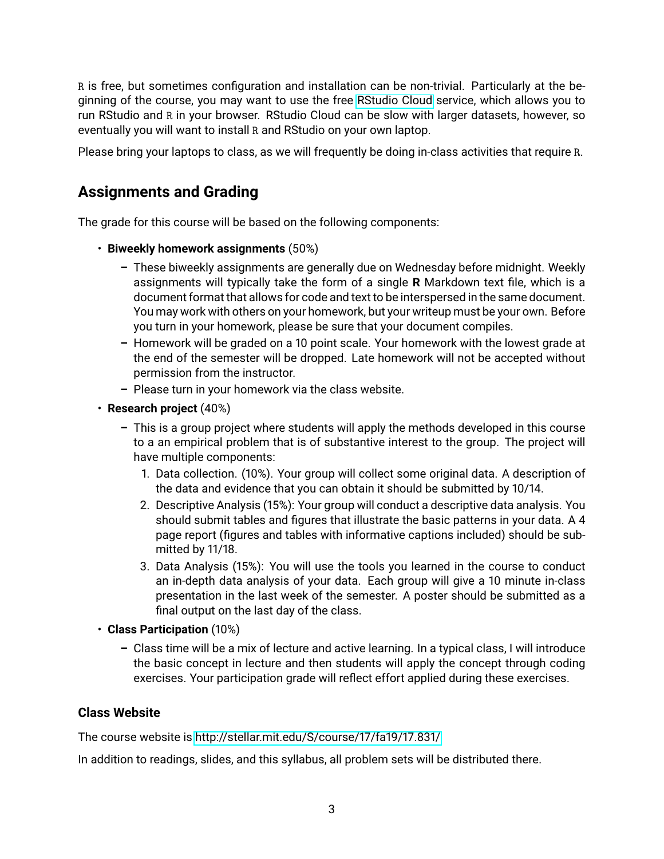R is free, but sometimes configuration and installation can be non-trivial. Particularly at the beginning of the course, you may want to use the free [RStudio Cloud](https://rstudio.cloud/) service, which allows you to run RStudio and R in your browser. RStudio Cloud can be slow with larger datasets, however, so eventually you will want to install R and RStudio on your own laptop.

Please bring your laptops to class, as we will frequently be doing in-class activities that require R.

## **Assignments and Grading**

The grade for this course will be based on the following components:

- **Biweekly homework assignments** (50%)
	- **–** These biweekly assignments are generally due on Wednesday before midnight. Weekly assignments will typically take the form of a single **R** Markdown text file, which is a document format that allows for code and text to be interspersed in the same document. You may work with others on your homework, but your writeup must be your own. Before you turn in your homework, please be sure that your document compiles.
	- **–** Homework will be graded on a 10 point scale. Your homework with the lowest grade at the end of the semester will be dropped. Late homework will not be accepted without permission from the instructor.
	- **–** Please turn in your homework via the class website.
- **Research project** (40%)
	- **–** This is a group project where students will apply the methods developed in this course to a an empirical problem that is of substantive interest to the group. The project will have multiple components:
		- 1. Data collection. (10%). Your group will collect some original data. A description of the data and evidence that you can obtain it should be submitted by 10/14.
		- 2. Descriptive Analysis (15%): Your group will conduct a descriptive data analysis. You should submit tables and figures that illustrate the basic patterns in your data. A 4 page report (figures and tables with informative captions included) should be submitted by 11/18.
		- 3. Data Analysis (15%): You will use the tools you learned in the course to conduct an in-depth data analysis of your data. Each group will give a 10 minute in-class presentation in the last week of the semester. A poster should be submitted as a final output on the last day of the class.
- **Class Participation** (10%)
	- **–** Class time will be a mix of lecture and active learning. In a typical class, I will introduce the basic concept in lecture and then students will apply the concept through coding exercises. Your participation grade will reflect effort applied during these exercises.

## **Class Website**

The course website is<http://stellar.mit.edu/S/course/17/fa19/17.831/>

In addition to readings, slides, and this syllabus, all problem sets will be distributed there.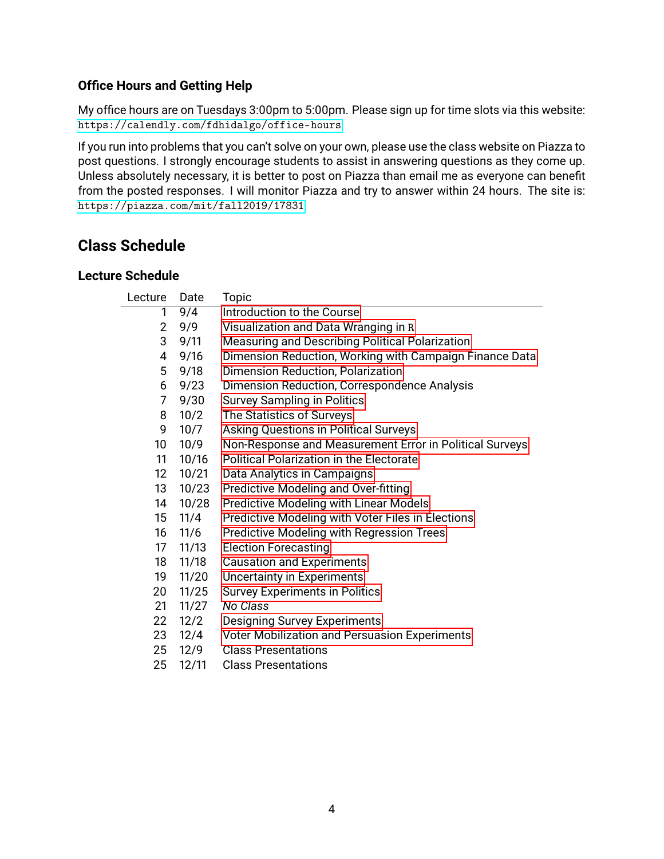## **Office Hours and Getting Help**

My office hours are on Tuesdays 3:00pm to 5:00pm. Please sign up for time slots via this website: <https://calendly.com/fdhidalgo/office-hours>

If you run into problems that you can't solve on your own, please use the class website on Piazza to post questions. I strongly encourage students to assist in answering questions as they come up. Unless absolutely necessary, it is better to post on Piazza than email me as everyone can benefit from the posted responses. I will monitor Piazza and try to answer within 24 hours. The site is: <https://piazza.com/mit/fall2019/17831>

## **Class Schedule**

## **Lecture Schedule**

| Lecture         | Date  | Topic                                                   |
|-----------------|-------|---------------------------------------------------------|
| 1               | 9/4   | Introduction to the Course                              |
| 2               | 9/9   | Visualization and Data Wranging in R                    |
| 3               | 9/11  | <b>Measuring and Describing Political Polarization</b>  |
| 4               | 9/16  | Dimension Reduction, Working with Campaign Finance Data |
| 5               | 9/18  | Dimension Reduction, Polarization                       |
| 6               | 9/23  | Dimension Reduction, Correspondence Analysis            |
| $\overline{7}$  | 9/30  | <b>Survey Sampling in Politics</b>                      |
| 8               | 10/2  | The Statistics of Surveys                               |
| 9               | 10/7  | Asking Questions in Political Surveys                   |
| 10              | 10/9  | Non-Response and Measurement Error in Political Surveys |
| 11              | 10/16 | <b>Political Polarization in the Electorate</b>         |
| 12 <sup>2</sup> | 10/21 | Data Analytics in Campaigns                             |
| 13              | 10/23 | Predictive Modeling and Over-fitting                    |
| 14              | 10/28 | Predictive Modeling with Linear Models                  |
| 15              | 11/4  | Predictive Modeling with Voter Files in Elections       |
| 16              | 11/6  | <b>Predictive Modeling with Regression Trees</b>        |
| 17              | 11/13 | <b>Election Forecasting</b>                             |
| 18              | 11/18 | <b>Causation and Experiments</b>                        |
| 19              | 11/20 | <b>Uncertainty in Experiments</b>                       |
| 20              | 11/25 | <b>Survey Experiments in Politics</b>                   |
| 21              | 11/27 | No Class                                                |
| 22              | 12/2  | <b>Designing Survey Experiments</b>                     |
| 23              | 12/4  | Voter Mobilization and Persuasion Experiments           |
| 25              | 12/9  | <b>Class Presentations</b>                              |
| 25              | 12/11 | <b>Class Presentations</b>                              |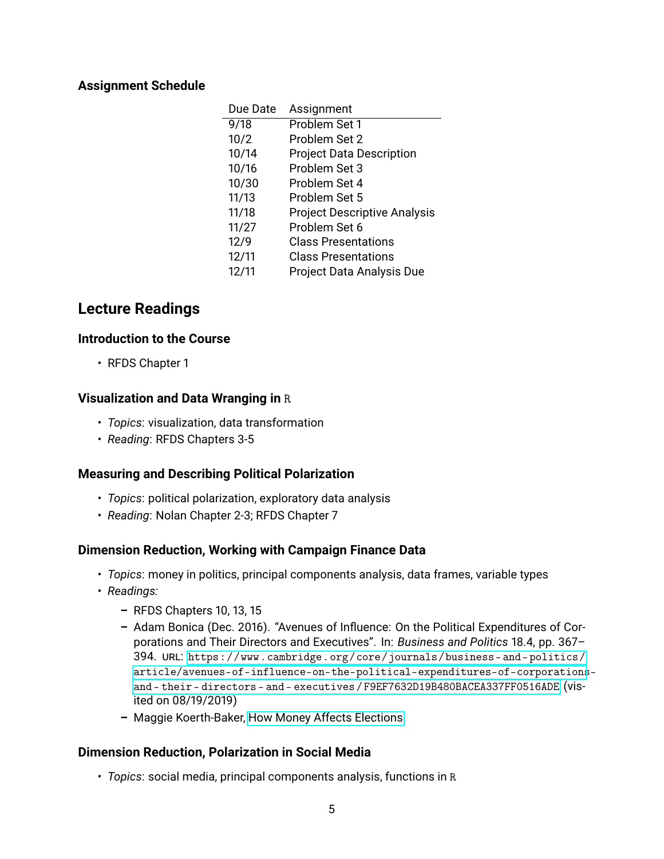## **Assignment Schedule**

| Due Date | Assignment                          |
|----------|-------------------------------------|
| 9/18     | Problem Set 1                       |
| 10/2     | Problem Set 2                       |
| 10/14    | <b>Project Data Description</b>     |
| 10/16    | Problem Set 3                       |
| 10/30    | Problem Set 4                       |
| 11/13    | Problem Set 5                       |
| 11/18    | <b>Project Descriptive Analysis</b> |
| 11/27    | Problem Set 6                       |
| 12/9     | <b>Class Presentations</b>          |
| 12/11    | <b>Class Presentations</b>          |
| 12/11    | Project Data Analysis Due           |

## **Lecture Readings**

#### <span id="page-4-0"></span>**Introduction to the Course**

• RFDS Chapter 1

#### <span id="page-4-1"></span>**Visualization and Data Wranging in** R

- *Topics*: visualization, data transformation
- *Reading*: RFDS Chapters 3-5

## <span id="page-4-2"></span>**Measuring and Describing Political Polarization**

- *Topics*: political polarization, exploratory data analysis
- *Reading*: Nolan Chapter 2-3; RFDS Chapter 7

## <span id="page-4-3"></span>**Dimension Reduction, Working with Campaign Finance Data**

- *Topics*: money in politics, principal components analysis, data frames, variable types
- *Readings:*
	- **–** RFDS Chapters 10, 13, 15
	- **–** Adam Bonica (Dec. 2016). "Avenues of Influence: On the Political Expenditures of Corporations and Their Directors and Executives". In: *Business and Politics* 18.4, pp. 367– 394. URL: [https://www.cambridge.org/core/journals/business- and- politics/](https://www.cambridge.org/core/journals/business-and-politics/article/avenues-of-influence-on-the-political-expenditures-of-corporations-and-their-directors-and-executives/F9EF7632D19B480BACEA337FF0516ADE) [article/avenues-of-influence-on-the-political-expenditures-of-corporations](https://www.cambridge.org/core/journals/business-and-politics/article/avenues-of-influence-on-the-political-expenditures-of-corporations-and-their-directors-and-executives/F9EF7632D19B480BACEA337FF0516ADE)[and - their - directors - and - executives / F9EF7632D19B480BACEA337FF0516ADE](https://www.cambridge.org/core/journals/business-and-politics/article/avenues-of-influence-on-the-political-expenditures-of-corporations-and-their-directors-and-executives/F9EF7632D19B480BACEA337FF0516ADE) (visited on 08/19/2019)
	- **–** Maggie Koerth-Baker, [How Money Affects Elections](https://fivethirtyeight.com/features/money-and-elections-a-complicated-love-story/)

## <span id="page-4-4"></span>**Dimension Reduction, Polarization in Social Media**

• *Topics*: social media, principal components analysis, functions in R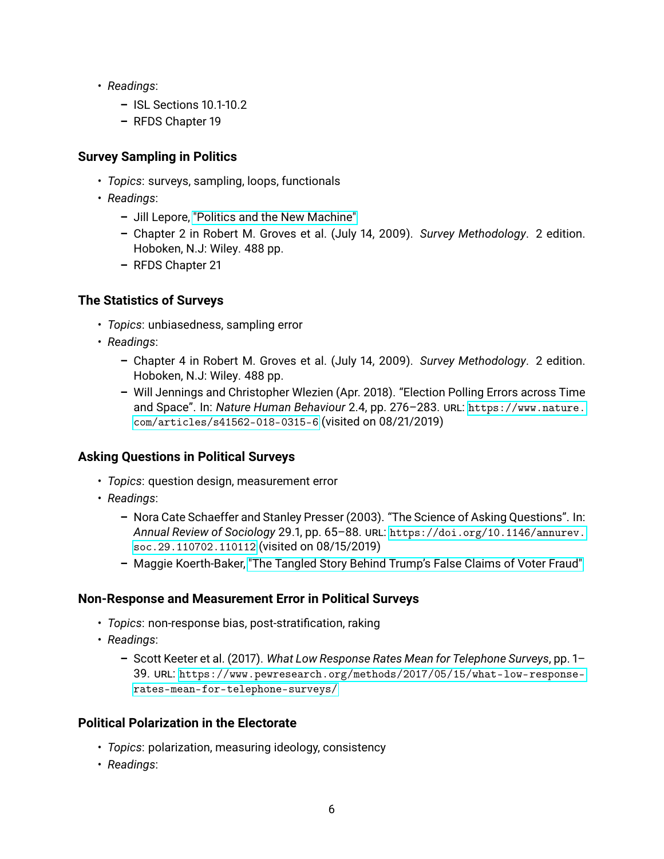- *Readings*:
	- **–** ISL Sections 10.1-10.2
	- **–** RFDS Chapter 19

## <span id="page-5-0"></span>**Survey Sampling in Politics**

- *Topics*: surveys, sampling, loops, functionals
- *Readings*:
	- **–** Jill Lepore, ["Politics and the New Machine"](http://www.newyorker.com/magazine/2015/11/16/politics-and-the-new-machine)
	- **–** Chapter 2 in Robert M. Groves et al. (July 14, 2009). *Survey Methodology*. 2 edition. Hoboken, N.J: Wiley. 488 pp.
	- **–** RFDS Chapter 21

## <span id="page-5-1"></span>**The Statistics of Surveys**

- *Topics*: unbiasedness, sampling error
- *Readings*:
	- **–** Chapter 4 in Robert M. Groves et al. (July 14, 2009). *Survey Methodology*. 2 edition. Hoboken, N.J: Wiley. 488 pp.
	- **–** Will Jennings and Christopher Wlezien (Apr. 2018). "Election Polling Errors across Time and Space". In: *Nature Human Behaviour* 2.4, pp. 276–283. URL: [https://www.nature.](https://www.nature.com/articles/s41562-018-0315-6) [com/articles/s41562-018-0315-6](https://www.nature.com/articles/s41562-018-0315-6) (visited on 08/21/2019)

## <span id="page-5-2"></span>**Asking Questions in Political Surveys**

- *Topics*: question design, measurement error
- *Readings*:
	- **–** Nora Cate Schaeffer and Stanley Presser (2003). "The Science of Asking Questions". In: *Annual Review of Sociology* 29.1, pp. 65–88. URL: [https://doi.org/10.1146/annurev.](https://doi.org/10.1146/annurev.soc.29.110702.110112) [soc.29.110702.110112](https://doi.org/10.1146/annurev.soc.29.110702.110112) (visited on 08/15/2019)
	- **–** Maggie Koerth-Baker, ["The Tangled Story Behind Trump's False Claims of Voter Fraud"](https://fivethirtyeight.com/features/trump-noncitizen-voters/)

## <span id="page-5-3"></span>**Non-Response and Measurement Error in Political Surveys**

- *Topics*: non-response bias, post-stratification, raking
- *Readings*:
	- **–** Scott Keeter et al. (2017). *What Low Response Rates Mean for Telephone Surveys*, pp. 1– 39. URL: [https://www.pewresearch.org/methods/2017/05/15/what-low-response](https://www.pewresearch.org/methods/2017/05/15/what-low-response-rates-mean-for-telephone-surveys/)[rates-mean-for-telephone-surveys/](https://www.pewresearch.org/methods/2017/05/15/what-low-response-rates-mean-for-telephone-surveys/)

## <span id="page-5-4"></span>**Political Polarization in the Electorate**

- *Topics*: polarization, measuring ideology, consistency
- *Readings*: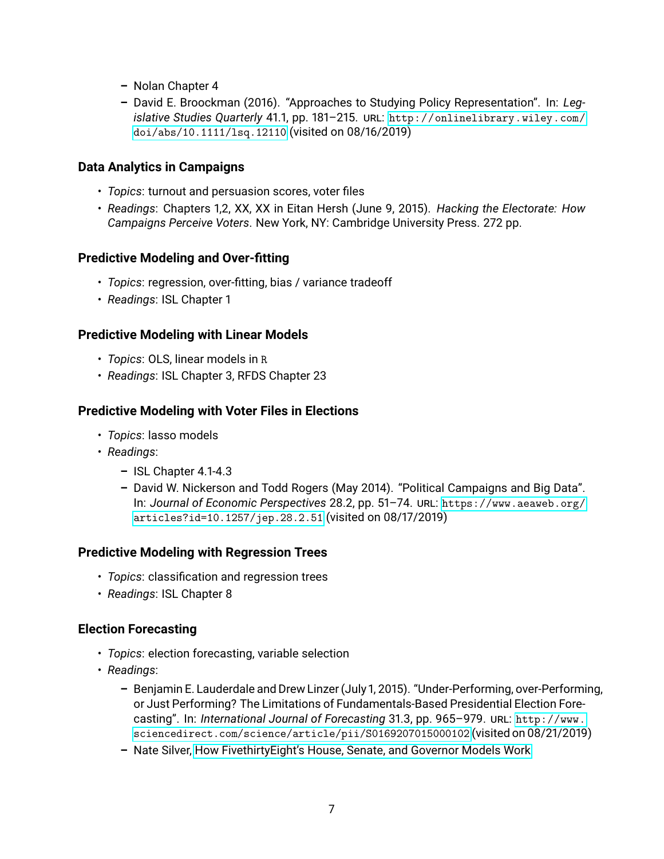- **–** Nolan Chapter 4
- **–** David E. Broockman (2016). "Approaches to Studying Policy Representation". In: *Legislative Studies Quarterly* 41.1, pp. 181–215. URL: [http://onlinelibrary.wiley.com/](http://onlinelibrary.wiley.com/doi/abs/10.1111/lsq.12110) [doi/abs/10.1111/lsq.12110](http://onlinelibrary.wiley.com/doi/abs/10.1111/lsq.12110) (visited on 08/16/2019)

### <span id="page-6-0"></span>**Data Analytics in Campaigns**

- *Topics*: turnout and persuasion scores, voter files
- *Readings*: Chapters 1,2, XX, XX in Eitan Hersh (June 9, 2015). *Hacking the Electorate: How Campaigns Perceive Voters*. New York, NY: Cambridge University Press. 272 pp.

#### <span id="page-6-1"></span>**Predictive Modeling and Over-fitting**

- *Topics*: regression, over-fitting, bias / variance tradeoff
- *Readings*: ISL Chapter 1

#### <span id="page-6-2"></span>**Predictive Modeling with Linear Models**

- *Topics*: OLS, linear models in R
- *Readings*: ISL Chapter 3, RFDS Chapter 23

#### <span id="page-6-3"></span>**Predictive Modeling with Voter Files in Elections**

- *Topics*: lasso models
- *Readings*:
	- **–** ISL Chapter 4.1-4.3
	- **–** David W. Nickerson and Todd Rogers (May 2014). "Political Campaigns and Big Data". In: *Journal of Economic Perspectives* 28.2, pp. 51–74. URL: [https://www.aeaweb.org/](https://www.aeaweb.org/articles?id=10.1257/jep.28.2.51) [articles?id=10.1257/jep.28.2.51](https://www.aeaweb.org/articles?id=10.1257/jep.28.2.51) (visited on 08/17/2019)

#### <span id="page-6-4"></span>**Predictive Modeling with Regression Trees**

- *Topics*: classification and regression trees
- *Readings*: ISL Chapter 8

#### <span id="page-6-5"></span>**Election Forecasting**

- *Topics*: election forecasting, variable selection
- *Readings*:
	- **–** Benjamin E. Lauderdale and Drew Linzer (July 1, 2015). "Under-Performing, over-Performing, or Just Performing? The Limitations of Fundamentals-Based Presidential Election Forecasting". In: *International Journal of Forecasting* 31.3, pp. 965–979. URL: [http://www.](http://www.sciencedirect.com/science/article/pii/S0169207015000102) [sciencedirect.com/science/article/pii/S0169207015000102](http://www.sciencedirect.com/science/article/pii/S0169207015000102) (visited on 08/21/2019)
	- **–** Nate Silver, [How FivethirtyEight's House, Senate, and Governor Models Work](https://fivethirtyeight.com/methodology/how-fivethirtyeights-house-and-senate-models-work/)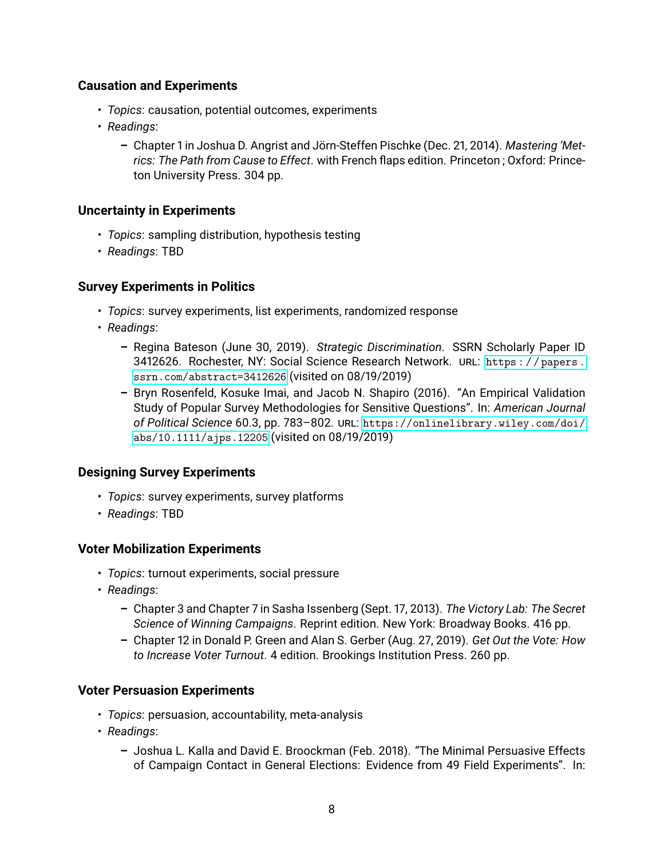## <span id="page-7-0"></span>**Causation and Experiments**

- *Topics*: causation, potential outcomes, experiments
- *Readings*:
	- **–** Chapter 1 in Joshua D. Angrist and Jörn-Steffen Pischke (Dec. 21, 2014). *Mastering 'Metrics: The Path from Cause to Effect*. with French flaps edition. Princeton ; Oxford: Princeton University Press. 304 pp.

## <span id="page-7-1"></span>**Uncertainty in Experiments**

- *Topics*: sampling distribution, hypothesis testing
- *Readings*: TBD

#### <span id="page-7-2"></span>**Survey Experiments in Politics**

- *Topics*: survey experiments, list experiments, randomized response
- *Readings*:
	- **–** Regina Bateson (June 30, 2019). *Strategic Discrimination*. SSRN Scholarly Paper ID 3412626. Rochester, NY: Social Science Research Network. URL: [https : / / papers .](https://papers.ssrn.com/abstract=3412626) [ssrn.com/abstract=3412626](https://papers.ssrn.com/abstract=3412626) (visited on 08/19/2019)
	- **–** Bryn Rosenfeld, Kosuke Imai, and Jacob N. Shapiro (2016). "An Empirical Validation Study of Popular Survey Methodologies for Sensitive Questions". In: *American Journal of Political Science* 60.3, pp. 783–802. URL: [https://onlinelibrary.wiley.com/doi/](https://onlinelibrary.wiley.com/doi/abs/10.1111/ajps.12205) [abs/10.1111/ajps.12205](https://onlinelibrary.wiley.com/doi/abs/10.1111/ajps.12205) (visited on 08/19/2019)

## <span id="page-7-3"></span>**Designing Survey Experiments**

- *Topics*: survey experiments, survey platforms
- *Readings*: TBD

## <span id="page-7-4"></span>**Voter Mobilization Experiments**

- *Topics*: turnout experiments, social pressure
- *Readings*:
	- **–** Chapter 3 and Chapter 7 in Sasha Issenberg (Sept. 17, 2013). *The Victory Lab: The Secret Science of Winning Campaigns*. Reprint edition. New York: Broadway Books. 416 pp.
	- **–** Chapter 12 in Donald P. Green and Alan S. Gerber (Aug. 27, 2019). *Get Out the Vote: How to Increase Voter Turnout*. 4 edition. Brookings Institution Press. 260 pp.

#### **Voter Persuasion Experiments**

- *Topics*: persuasion, accountability, meta-analysis
- *Readings*:
	- **–** Joshua L. Kalla and David E. Broockman (Feb. 2018). "The Minimal Persuasive Effects of Campaign Contact in General Elections: Evidence from 49 Field Experiments". In: